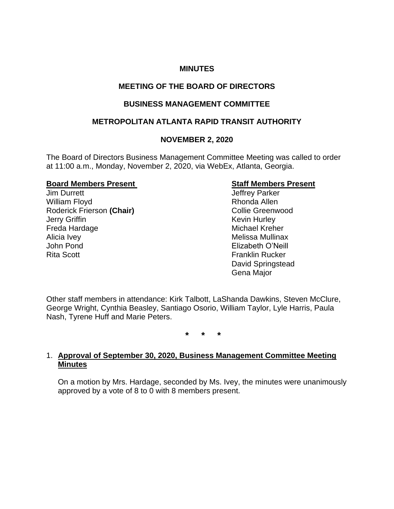## **MINUTES**

## **MEETING OF THE BOARD OF DIRECTORS**

## **BUSINESS MANAGEMENT COMMITTEE**

## **METROPOLITAN ATLANTA RAPID TRANSIT AUTHORITY**

## **NOVEMBER 2, 2020**

The Board of Directors Business Management Committee Meeting was called to order at 11:00 a.m., Monday, November 2, 2020, via WebEx, Atlanta, Georgia.

#### **Board Members Present Staff Members Present**

Jim Durrett Jeffrey Parker William Floyd **Rhonda Allen** Roderick Frierson (Chair) **Collie Greenwood Jerry Griffin** Kevin Hurley Freda Hardage Michael Kreher Alicia Ivey **Melissa Mullinax Melissa Mullinax** John Pond Elizabeth O'Neill Rita Scott **Franklin Rucker** 

David Springstead Gena Major

Other staff members in attendance: Kirk Talbott, LaShanda Dawkins, Steven McClure, George Wright, Cynthia Beasley, Santiago Osorio, William Taylor, Lyle Harris, Paula Nash, Tyrene Huff and Marie Peters.

**\* \* \***

## 1. **Approval of September 30, 2020, Business Management Committee Meeting Minutes**

On a motion by Mrs. Hardage, seconded by Ms. Ivey, the minutes were unanimously approved by a vote of 8 to 0 with 8 members present.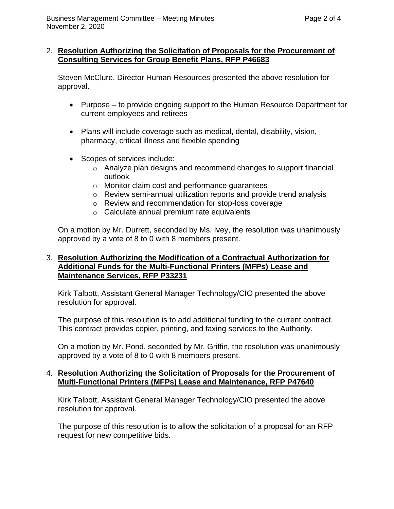## 2. **Resolution Authorizing the Solicitation of Proposals for the Procurement of Consulting Services for Group Benefit Plans, RFP P46683**

Steven McClure, Director Human Resources presented the above resolution for approval.

- Purpose to provide ongoing support to the Human Resource Department for current employees and retirees
- Plans will include coverage such as medical, dental, disability, vision, pharmacy, critical illness and flexible spending
- Scopes of services include:
	- o Analyze plan designs and recommend changes to support financial outlook
	- o Monitor claim cost and performance guarantees
	- o Review semi-annual utilization reports and provide trend analysis
	- o Review and recommendation for stop-loss coverage
	- o Calculate annual premium rate equivalents

On a motion by Mr. Durrett, seconded by Ms. Ivey, the resolution was unanimously approved by a vote of 8 to 0 with 8 members present.

## 3. **Resolution Authorizing the Modification of a Contractual Authorization for Additional Funds for the Multi-Functional Printers (MFPs) Lease and Maintenance Services, RFP P33231**

Kirk Talbott, Assistant General Manager Technology/CIO presented the above resolution for approval.

The purpose of this resolution is to add additional funding to the current contract. This contract provides copier, printing, and faxing services to the Authority.

On a motion by Mr. Pond, seconded by Mr. Griffin, the resolution was unanimously approved by a vote of 8 to 0 with 8 members present.

## 4. **Resolution Authorizing the Solicitation of Proposals for the Procurement of Multi-Functional Printers (MFPs) Lease and Maintenance, RFP P47640**

Kirk Talbott, Assistant General Manager Technology/CIO presented the above resolution for approval.

The purpose of this resolution is to allow the solicitation of a proposal for an RFP request for new competitive bids.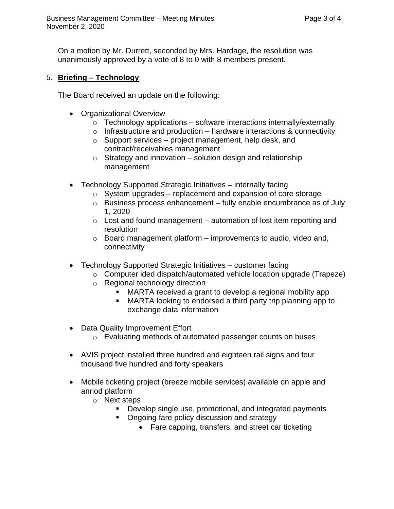On a motion by Mr. Durrett, seconded by Mrs. Hardage, the resolution was unanimously approved by a vote of 8 to 0 with 8 members present.

## 5. **Briefing – Technology**

The Board received an update on the following:

- Organizational Overview
	- $\circ$  Technology applications software interactions internally/externally
	- $\circ$  Infrastructure and production hardware interactions & connectivity
	- $\circ$  Support services project management, help desk, and contract/receivables management
	- $\circ$  Strategy and innovation solution design and relationship management
- Technology Supported Strategic Initiatives internally facing
	- $\circ$  System upgrades replacement and expansion of core storage
	- $\circ$  Business process enhancement fully enable encumbrance as of July 1, 2020
	- $\circ$  Lost and found management automation of lost item reporting and resolution
	- $\circ$  Board management platform improvements to audio, video and, connectivity
- Technology Supported Strategic Initiatives customer facing
	- o Computer ided dispatch/automated vehicle location upgrade (Trapeze)
	- o Regional technology direction
		- MARTA received a grant to develop a regional mobility app
		- MARTA looking to endorsed a third party trip planning app to exchange data information
- Data Quality Improvement Effort
	- o Evaluating methods of automated passenger counts on buses
- AVIS project installed three hundred and eighteen rail signs and four thousand five hundred and forty speakers
- Mobile ticketing project (breeze mobile services) available on apple and anriod platform
	- o Next steps
		- Develop single use, promotional, and integrated payments
		- Ongoing fare policy discussion and strategy
			- Fare capping, transfers, and street car ticketing